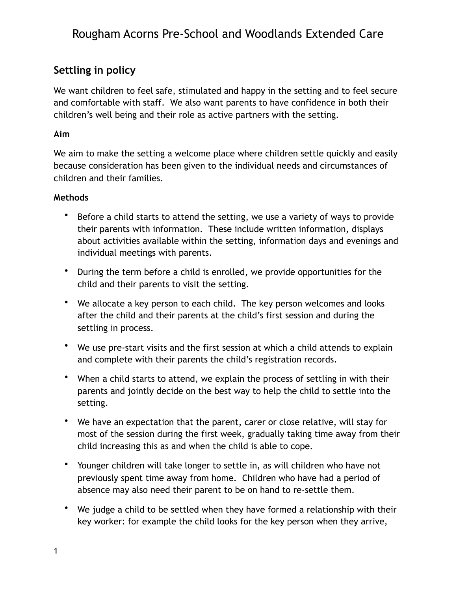# Rougham Acorns Pre-School and Woodlands Extended Care

### **Settling in policy**

We want children to feel safe, stimulated and happy in the setting and to feel secure and comfortable with staff. We also want parents to have confidence in both their children's well being and their role as active partners with the setting.

### **Aim**

We aim to make the setting a welcome place where children settle quickly and easily because consideration has been given to the individual needs and circumstances of children and their families.

#### **Methods**

- Before a child starts to attend the setting, we use a variety of ways to provide their parents with information. These include written information, displays about activities available within the setting, information days and evenings and individual meetings with parents.
- During the term before a child is enrolled, we provide opportunities for the child and their parents to visit the setting.
- We allocate a key person to each child. The key person welcomes and looks after the child and their parents at the child's first session and during the settling in process.
- We use pre-start visits and the first session at which a child attends to explain and complete with their parents the child's registration records.
- When a child starts to attend, we explain the process of settling in with their parents and jointly decide on the best way to help the child to settle into the setting.
- We have an expectation that the parent, carer or close relative, will stay for most of the session during the first week, gradually taking time away from their child increasing this as and when the child is able to cope.
- Younger children will take longer to settle in, as will children who have not previously spent time away from home. Children who have had a period of absence may also need their parent to be on hand to re-settle them.
- We judge a child to be settled when they have formed a relationship with their key worker: for example the child looks for the key person when they arrive,